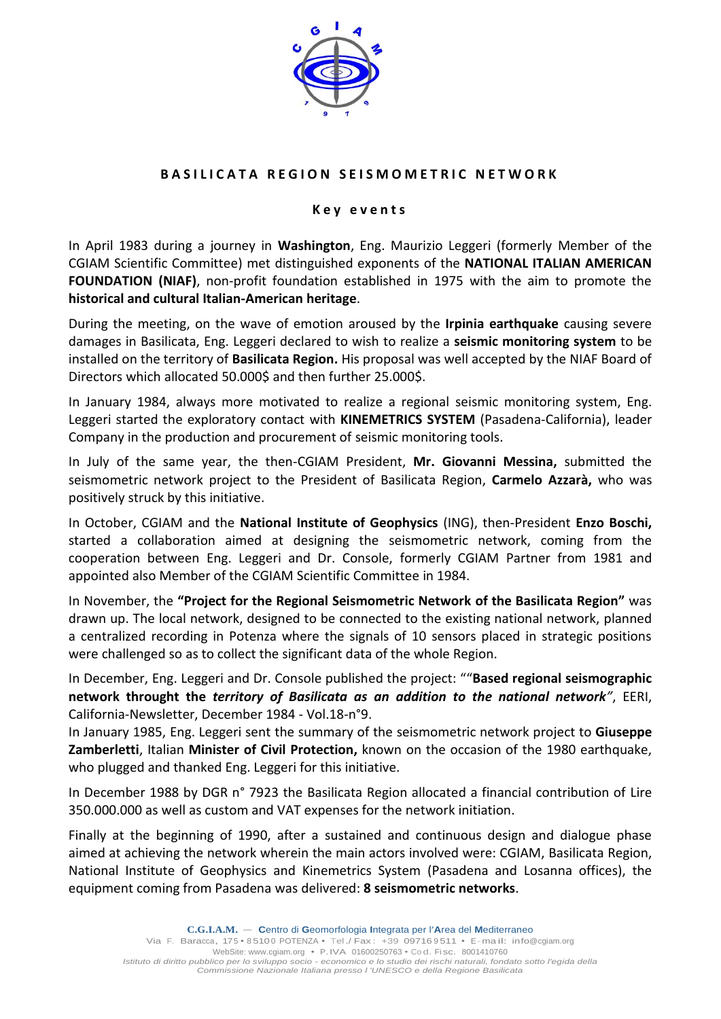

## **BASILICATA REGION SEISMOMETRIC NETWORK**

## **K e y e v e n t s**

In April 1983 during a journey in **Washington**, Eng. Maurizio Leggeri (formerly Member of the CGIAM Scientific Committee) met distinguished exponents of the **NATIONAL ITALIAN AMERICAN FOUNDATION (NIAF)**, non-profit foundation established in 1975 with the aim to promote the **historical and cultural Italian-American heritage**.

During the meeting, on the wave of emotion aroused by the **Irpinia earthquake** causing severe damages in Basilicata, Eng. Leggeri declared to wish to realize a **seismic monitoring system** to be installed on the territory of **Basilicata Region.** His proposal was well accepted by the NIAF Board of Directors which allocated 50.000\$ and then further 25.000\$.

In January 1984, always more motivated to realize a regional seismic monitoring system, Eng. Leggeri started the exploratory contact with **KINEMETRICS SYSTEM** (Pasadena-California), leader Company in the production and procurement of seismic monitoring tools.

In July of the same year, the then-CGIAM President, **Mr. Giovanni Messina,** submitted the seismometric network project to the President of Basilicata Region, **Carmelo Azzarà,** who was positively struck by this initiative.

In October, CGIAM and the **National Institute of Geophysics** (ING), then-President **Enzo Boschi,**  started a collaboration aimed at designing the seismometric network, coming from the cooperation between Eng. Leggeri and Dr. Console, formerly CGIAM Partner from 1981 and appointed also Member of the CGIAM Scientific Committee in 1984.

In November, the **"Project for the Regional Seismometric Network of the Basilicata Region"** was drawn up. The local network, designed to be connected to the existing national network, planned a centralized recording in Potenza where the signals of 10 sensors placed in strategic positions were challenged so as to collect the significant data of the whole Region.

In December, Eng. Leggeri and Dr. Console published the project: ""**Based regional seismographic network throught the** *territory of Basilicata as an addition to the national network"*, EERI, California-Newsletter, December 1984 - Vol.18-n°9.

In January 1985, Eng. Leggeri sent the summary of the seismometric network project to **Giuseppe Zamberletti**, Italian **Minister of Civil Protection,** known on the occasion of the 1980 earthquake, who plugged and thanked Eng. Leggeri for this initiative.

In December 1988 by DGR n° 7923 the Basilicata Region allocated a financial contribution of Lire 350.000.000 as well as custom and VAT expenses for the network initiation.

Finally at the beginning of 1990, after a sustained and continuous design and dialogue phase aimed at achieving the network wherein the main actors involved were: CGIAM, Basilicata Region, National Institute of Geophysics and Kinemetrics System (Pasadena and Losanna offices), the equipment coming from Pasadena was delivered: **8 seismometric networks**.